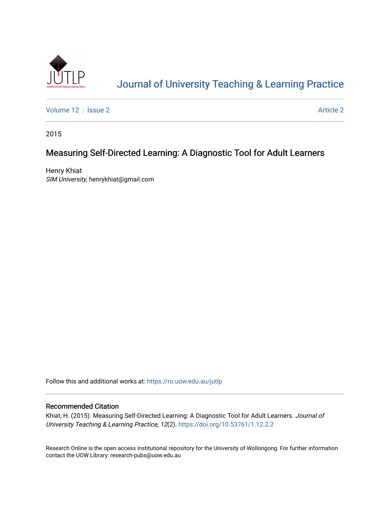

# [Journal of University Teaching & Learning Practice](https://ro.uow.edu.au/jutlp)

[Volume 12](https://ro.uow.edu.au/jutlp/vol12) | [Issue 2](https://ro.uow.edu.au/jutlp/vol12/iss2) Article 2

2015

# Measuring Self-Directed Learning: A Diagnostic Tool for Adult Learners

Henry Khiat SIM University, henrykhiat@gmail.com

Follow this and additional works at: [https://ro.uow.edu.au/jutlp](https://ro.uow.edu.au/jutlp?utm_source=ro.uow.edu.au%2Fjutlp%2Fvol12%2Fiss2%2F2&utm_medium=PDF&utm_campaign=PDFCoverPages) 

## Recommended Citation

Khiat, H. (2015). Measuring Self-Directed Learning: A Diagnostic Tool for Adult Learners. Journal of University Teaching & Learning Practice, 12(2).<https://doi.org/10.53761/1.12.2.2>

Research Online is the open access institutional repository for the University of Wollongong. For further information contact the UOW Library: research-pubs@uow.edu.au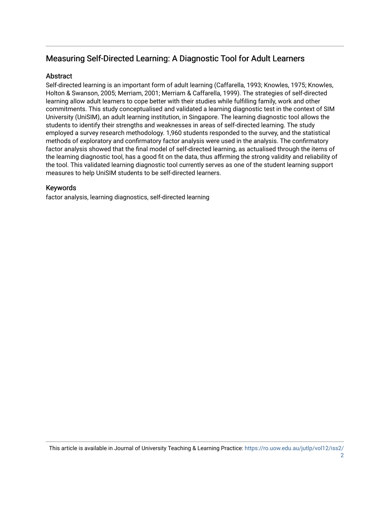# Measuring Self-Directed Learning: A Diagnostic Tool for Adult Learners

# **Abstract**

Self-directed learning is an important form of adult learning (Caffarella, 1993; Knowles, 1975; Knowles, Holton & Swanson, 2005; Merriam, 2001; Merriam & Caffarella, 1999). The strategies of self-directed learning allow adult learners to cope better with their studies while fulfilling family, work and other commitments. This study conceptualised and validated a learning diagnostic test in the context of SIM University (UniSIM), an adult learning institution, in Singapore. The learning diagnostic tool allows the students to identify their strengths and weaknesses in areas of self-directed learning. The study employed a survey research methodology. 1,960 students responded to the survey, and the statistical methods of exploratory and confirmatory factor analysis were used in the analysis. The confirmatory factor analysis showed that the final model of self-directed learning, as actualised through the items of the learning diagnostic tool, has a good fit on the data, thus affirming the strong validity and reliability of the tool. This validated learning diagnostic tool currently serves as one of the student learning support measures to help UniSIM students to be self-directed learners.

# Keywords

factor analysis, learning diagnostics, self-directed learning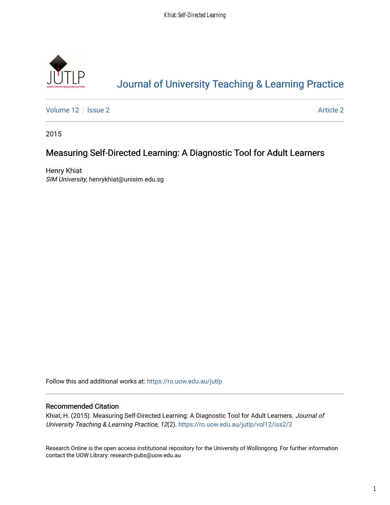

# [Journal of University Teaching & Learning Practice](https://ro.uow.edu.au/jutlp)

[Volume 12](https://ro.uow.edu.au/jutlp/vol12) | [Issue 2](https://ro.uow.edu.au/jutlp/vol12/iss2) Article 2

2015

# Measuring Self-Directed Learning: A Diagnostic Tool for Adult Learners

Henry Khiat SIM University, henrykhiat@unisim.edu.sg

Follow this and additional works at: [https://ro.uow.edu.au/jutlp](https://ro.uow.edu.au/jutlp?utm_source=ro.uow.edu.au%2Fjutlp%2Fvol12%2Fiss2%2F2&utm_medium=PDF&utm_campaign=PDFCoverPages) 

## Recommended Citation

Khiat, H. (2015). Measuring Self-Directed Learning: A Diagnostic Tool for Adult Learners. Journal of University Teaching & Learning Practice, 12(2). [https://ro.uow.edu.au/jutlp/vol12/iss2/2](https://ro.uow.edu.au/jutlp/vol12/iss2/2?utm_source=ro.uow.edu.au%2Fjutlp%2Fvol12%2Fiss2%2F2&utm_medium=PDF&utm_campaign=PDFCoverPages) 

Research Online is the open access institutional repository for the University of Wollongong. For further information contact the UOW Library: research-pubs@uow.edu.au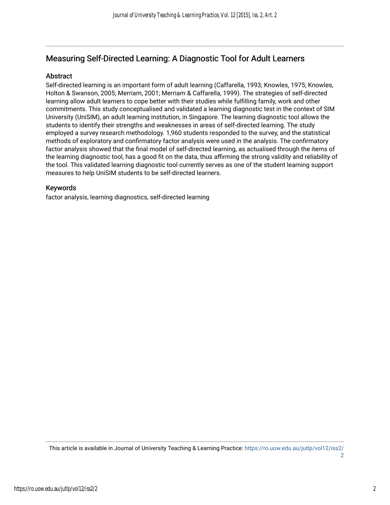# Measuring Self-Directed Learning: A Diagnostic Tool for Adult Learners

## Abstract

Self-directed learning is an important form of adult learning (Caffarella, 1993; Knowles, 1975; Knowles, Holton & Swanson, 2005; Merriam, 2001; Merriam & Caffarella, 1999). The strategies of self-directed learning allow adult learners to cope better with their studies while fulfilling family, work and other commitments. This study conceptualised and validated a learning diagnostic test in the context of SIM University (UniSIM), an adult learning institution, in Singapore. The learning diagnostic tool allows the students to identify their strengths and weaknesses in areas of self-directed learning. The study employed a survey research methodology. 1,960 students responded to the survey, and the statistical methods of exploratory and confirmatory factor analysis were used in the analysis. The confirmatory factor analysis showed that the final model of self-directed learning, as actualised through the items of the learning diagnostic tool, has a good fit on the data, thus affirming the strong validity and reliability of the tool. This validated learning diagnostic tool currently serves as one of the student learning support measures to help UniSIM students to be self-directed learners.

## Keywords

factor analysis, learning diagnostics, self-directed learning

This article is available in Journal of University Teaching & Learning Practice: [https://ro.uow.edu.au/jutlp/vol12/iss2/](https://ro.uow.edu.au/jutlp/vol12/iss2/2) [2](https://ro.uow.edu.au/jutlp/vol12/iss2/2)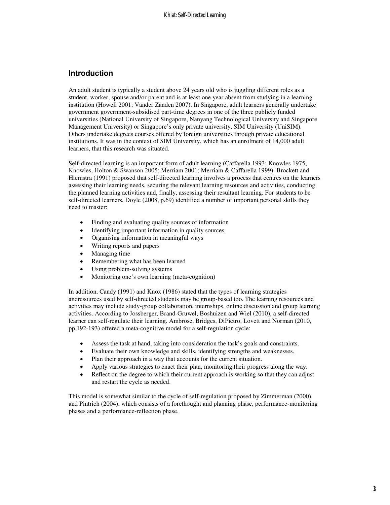## **Introduction**

An adult student is typically a student above 24 years old who is juggling different roles as a student, worker, spouse and/or parent and is at least one year absent from studying in a learning institution (Howell 2001; Vander Zanden 2007). In Singapore, adult learners generally undertake government government-subsidised part-time degrees in one of the three publicly funded universities (National University of Singapore, Nanyang Technological University and Singapore Management University) or Singapore's only private university, SIM University (UniSIM). Others undertake degrees courses offered by foreign universities through private educational institutions. It was in the context of SIM University, which has an enrolment of 14,000 adult learners, that this research was situated.

Self-directed learning is an important form of adult learning (Caffarella 1993; Knowles 1975; Knowles, Holton & Swanson 2005; Merriam 2001; Merriam & Caffarella 1999). Brockett and Hiemstra (1991) proposed that self-directed learning involves a process that centres on the learners assessing their learning needs, securing the relevant learning resources and activities, conducting the planned learning activities and, finally, assessing their resultant learning. For students to be self-directed learners, Doyle (2008, p.69) identified a number of important personal skills they need to master:

- Finding and evaluating quality sources of information
- Identifying important information in quality sources
- Organising information in meaningful ways
- Writing reports and papers
- Managing time
- Remembering what has been learned
- Using problem-solving systems
- Monitoring one's own learning (meta-cognition)

In addition, Candy (1991) and Knox (1986) stated that the types of learning strategies andresources used by self-directed students may be group-based too. The learning resources and activities may include study-group collaboration, internships, online discussion and group learning activities. According to Jossberger, Brand-Gruwel, Boshuizen and Wiel (2010), a self-directed learner can self-regulate their learning. Ambrose, Bridges, DiPietro, Lovett and Norman (2010, pp.192-193) offered a meta-cognitive model for a self-regulation cycle:

- Assess the task at hand, taking into consideration the task's goals and constraints.
- Evaluate their own knowledge and skills, identifying strengths and weaknesses.
- Plan their approach in a way that accounts for the current situation.
- Apply various strategies to enact their plan, monitoring their progress along the way.
- Reflect on the degree to which their current approach is working so that they can adjust and restart the cycle as needed.

This model is somewhat similar to the cycle of self-regulation proposed by Zimmerman (2000) and Pintrich (2004), which consists of a forethought and planning phase, performance-monitoring phases and a performance-reflection phase.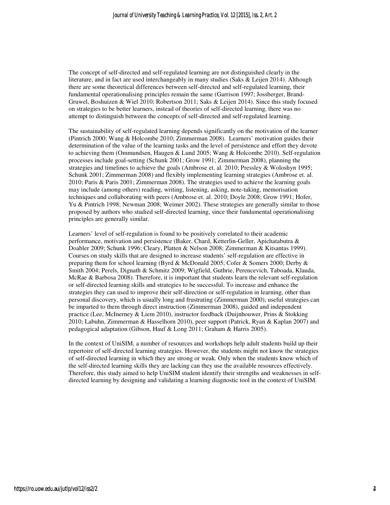The concept of self-directed and self-regulated learning are not distinguished clearly in the literature, and in fact are used interchangeably in many studies (Saks & Leijen 2014). Although there are some theoretical differences between self-directed and self-regulated learning, their fundamental operationalising principles remain the same (Garrison 1997; Jossberger, Brand-Gruwel, Boshuizen & Wiel 2010; Robertson 2011; Saks & Leijen 2014). Since this study focused on strategies to be better learners, instead of theories of self-directed learning, there was no attempt to distinguish between the concepts of self-directed and self-regulated learning.

The sustainability of self-regulated learning depends significantly on the motivation of the learner (Pintrich 2000; Wang & Holcombe 2010; Zimmerman 2008). Learners' motivation guides their determination of the value of the learning tasks and the level of persistence and effort they devote to achieving them (Ommundsen, Haugen & Lund 2005; Wang & Holcombe 2010). Self-regulation processes include goal-setting (Schunk 2001; Grow 1991; Zimmerman 2008), planning the strategies and timelines to achieve the goals (Ambrose et. al. 2010; Pressley & Woloshyn 1995; Schunk 2001; Zimmerman 2008) and flexibly implementing learning strategies (Ambrose et. al. 2010; Paris & Paris 2001; Zimmerman 2008). The strategies used to achieve the learning goals may include (among others) reading, writing, listening, asking, note-taking, memorisation techniques and collaborating with peers (Ambrose et. al. 2010; Doyle 2008; Grow 1991; Hofer, Yu & Pintrich 1998; Newman 2008; Weimer 2002). These strategies are generally similar to those proposed by authors who studied self-directed learning, since their fundamental operationalising principles are generally similar.

Learners' level of self-regulation is found to be positively correlated to their academic performance, motivation and persistence (Baker, Chard, Ketterlin-Geller, Apichatabutra & Doabler 2009; Schunk 1996; Cleary, Platten & Nelson 2008; Zimmerman & Kitsantas 1999). Courses on study skills that are designed to increase students' self-regulation are effective in preparing them for school learning (Byrd & McDonald 2005; Cofer & Somers 2000; Derby & Smith 2004; Perels, Dignath & Schmitz 2009; Wigfield, Guthrie, Perencevich, Taboada, Klauda, McRae & Barbosa 2008). Therefore, it is important that students learn the relevant self-regulation or self-directed learning skills and strategies to be successful. To increase and enhance the strategies they can used to improve their self-direction or self-regulation in learning, other than personal discovery, which is usually long and frustrating (Zimmerman 2000), useful strategies can be imparted to them through direct instruction (Zimmerman 2008), guided and independent practice (Lee, McInerney & Liem 2010), instructor feedback (Duijnhouwer, Prins & Stokking 2010; Labuhn, Zimmerman & Hasselhorn 2010), peer support (Patrick, Ryan & Kaplan 2007) and pedagogical adaptation (Gibson, Hauf & Long 2011; Graham & Harris 2005).

In the context of UniSIM, a number of resources and workshops help adult students build up their repertoire of self-directed learning strategies. However, the students might not know the strategies of self-directed learning in which they are strong or weak. Only when the students know which of the self-directed learning skills they are lacking can they use the available resources effectively. Therefore, this study aimed to help UniSIM student identify their strengths and weaknesses in selfdirected learning by designing and validating a learning diagnostic tool in the context of UniSIM.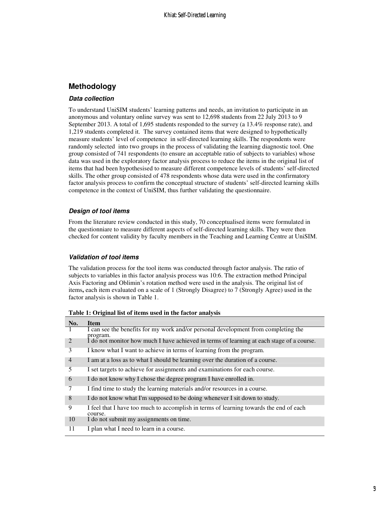# **Methodology**

#### **Data collection**

To understand UniSIM students' learning patterns and needs, an invitation to participate in an anonymous and voluntary online survey was sent to 12,698 students from 22 July 2013 to 9 September 2013. A total of 1,695 students responded to the survey (a 13.4% response rate), and 1,219 students completed it. The survey contained items that were designed to hypothetically measure students' level of competence in self-directed learning skills. The respondents were randomly selected into two groups in the process of validating the learning diagnostic tool. One group consisted of 741 respondents (to ensure an acceptable ratio of subjects to variables) whose data was used in the exploratory factor analysis process to reduce the items in the original list of items that had been hypothesised to measure different competence levels of students' self-directed skills. The other group consisted of 478 respondents whose data were used in the confirmatory factor analysis process to confirm the conceptual structure of students' self-directed learning skills competence in the context of UniSIM, thus further validating the questionnaire.

#### **Design of tool items**

From the literature review conducted in this study, 70 conceptualised items were formulated in the questionniare to measure different aspects of self-directed learning skills. They were then checked for content validity by faculty members in the Teaching and Learning Centre at UniSIM.

#### **Validation of tool items**

The validation process for the tool items was conducted through factor analysis. The ratio of subjects to variables in this factor analysis process was 10:6. The extraction method Principal Axis Factoring and Oblimin's rotation method were used in the analysis. The original list of items**,** each item evaluated on a scale of 1 (Strongly Disagree) to 7 (Strongly Agree) used in the factor analysis is shown in Table 1.

| No.                         | <b>Item</b>                                                                                       |
|-----------------------------|---------------------------------------------------------------------------------------------------|
| -1                          | I can see the benefits for my work and/or personal development from completing the<br>program.    |
| $\mathcal{D}_{\mathcal{L}}$ | I do not monitor how much I have achieved in terms of learning at each stage of a course.         |
| 3                           | I know what I want to achieve in terms of learning from the program.                              |
| $\overline{4}$              | I am at a loss as to what I should be learning over the duration of a course.                     |
| 5                           | I set targets to achieve for assignments and examinations for each course.                        |
| 6                           | I do not know why I chose the degree program I have enrolled in.                                  |
| 7                           | I find time to study the learning materials and/or resources in a course.                         |
| 8                           | I do not know what I'm supposed to be doing whenever I sit down to study.                         |
| 9                           | I feel that I have too much to accomplish in terms of learning towards the end of each<br>course. |
| 10                          | I do not submit my assignments on time.                                                           |
| 11                          | I plan what I need to learn in a course.                                                          |

**Table 1: Original list of items used in the factor analysis**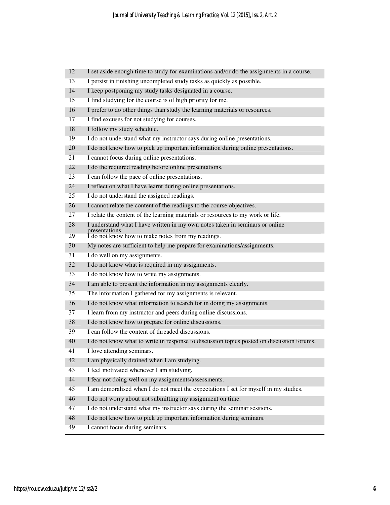| 12 | I set aside enough time to study for examinations and/or do the assignments in a course.  |
|----|-------------------------------------------------------------------------------------------|
| 13 | I persist in finishing uncompleted study tasks as quickly as possible.                    |
| 14 | I keep postponing my study tasks designated in a course.                                  |
| 15 | I find studying for the course is of high priority for me.                                |
| 16 | I prefer to do other things than study the learning materials or resources.               |
| 17 | I find excuses for not studying for courses.                                              |
| 18 | I follow my study schedule.                                                               |
| 19 | I do not understand what my instructor says during online presentations.                  |
| 20 | I do not know how to pick up important information during online presentations.           |
| 21 | I cannot focus during online presentations.                                               |
| 22 | I do the required reading before online presentations.                                    |
| 23 | I can follow the pace of online presentations.                                            |
| 24 | I reflect on what I have learnt during online presentations.                              |
| 25 | I do not understand the assigned readings.                                                |
| 26 | I cannot relate the content of the readings to the course objectives.                     |
| 27 | I relate the content of the learning materials or resources to my work or life.           |
| 28 | I understand what I have written in my own notes taken in seminars or online              |
| 29 | presentations.<br>I do not know how to make notes from my readings.                       |
| 30 | My notes are sufficient to help me prepare for examinations/assignments.                  |
| 31 | I do well on my assignments.                                                              |
| 32 | I do not know what is required in my assignments.                                         |
| 33 | I do not know how to write my assignments.                                                |
| 34 | I am able to present the information in my assignments clearly.                           |
| 35 | The information I gathered for my assignments is relevant.                                |
| 36 | I do not know what information to search for in doing my assignments.                     |
| 37 | I learn from my instructor and peers during online discussions.                           |
| 38 | I do not know how to prepare for online discussions.                                      |
| 39 | I can follow the content of threaded discussions.                                         |
| 40 | I do not know what to write in response to discussion topics posted on discussion forums. |
| 41 | I love attending seminars.                                                                |
| 42 | I am physically drained when I am studying.                                               |
| 43 | I feel motivated whenever I am studying.                                                  |
| 44 | I fear not doing well on my assignments/assessments.                                      |
| 45 | I am demoralised when I do not meet the expectations I set for myself in my studies.      |
| 46 | I do not worry about not submitting my assignment on time.                                |
| 47 | I do not understand what my instructor says during the seminar sessions.                  |
| 48 | I do not know how to pick up important information during seminars.                       |
| 49 | I cannot focus during seminars.                                                           |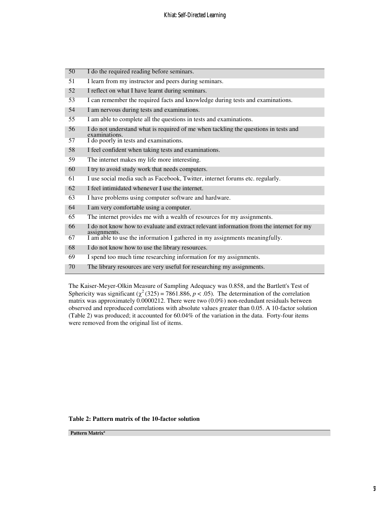| 50 | I do the required reading before seminars.                                                              |
|----|---------------------------------------------------------------------------------------------------------|
| 51 | I learn from my instructor and peers during seminars.                                                   |
| 52 | I reflect on what I have learnt during seminars.                                                        |
| 53 | I can remember the required facts and knowledge during tests and examinations.                          |
| 54 | I am nervous during tests and examinations.                                                             |
| 55 | I am able to complete all the questions in tests and examinations.                                      |
| 56 | I do not understand what is required of me when tackling the questions in tests and<br>examinations.    |
| 57 | I do poorly in tests and examinations.                                                                  |
| 58 | I feel confident when taking tests and examinations.                                                    |
| 59 | The internet makes my life more interesting.                                                            |
| 60 | I try to avoid study work that needs computers.                                                         |
| 61 | I use social media such as Facebook, Twitter, internet forums etc. regularly.                           |
| 62 | I feel intimidated whenever I use the internet.                                                         |
| 63 | I have problems using computer software and hardware.                                                   |
| 64 | I am very comfortable using a computer.                                                                 |
| 65 | The internet provides me with a wealth of resources for my assignments.                                 |
| 66 | I do not know how to evaluate and extract relevant information from the internet for my<br>assignments. |
| 67 | I am able to use the information I gathered in my assignments meaningfully.                             |
| 68 | I do not know how to use the library resources.                                                         |
| 69 | I spend too much time researching information for my assignments.                                       |
| 70 | The library resources are very useful for researching my assignments.                                   |

The Kaiser-Meyer-Olkin Measure of Sampling Adequacy was 0.858, and the Bartlett's Test of Sphericity was significant ( $\chi^2$  (325) = 7861.886, *p* < .05). The determination of the correlation matrix was approximately 0.0000212. There were two (0.0%) non-redundant residuals between observed and reproduced correlations with absolute values greater than 0.05. A 10-factor solution (Table 2) was produced; it accounted for 60.04% of the variation in the data. Forty-four items were removed from the original list of items.

#### **Table 2: Pattern matrix of the 10-factor solution**

**Pattern Matrix<sup>a</sup>**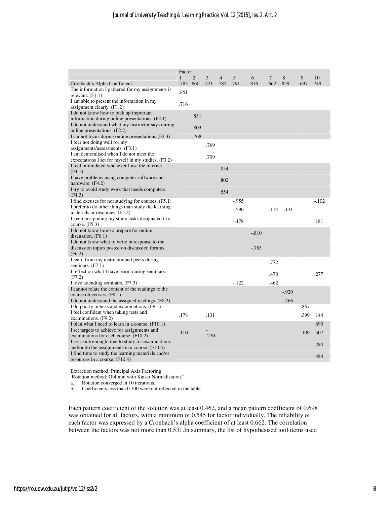|                                                     | Factor       |                |      |                |         |          |      |            |      |         |
|-----------------------------------------------------|--------------|----------------|------|----------------|---------|----------|------|------------|------|---------|
|                                                     | $\mathbf{1}$ | $\overline{2}$ | 3    | $\overline{4}$ | 5       | 6        | 7    | 8          | 9    | 10      |
| Cronbach's Alpha Coefficient                        |              | .783 .860      | .721 | .782           | .791    | .816     | .662 | .859       | .697 | .749    |
| The information I gathered for my assignments is    | .851         |                |      |                |         |          |      |            |      |         |
| relevant. $(F1.1)$                                  |              |                |      |                |         |          |      |            |      |         |
| I am able to present the information in my          |              |                |      |                |         |          |      |            |      |         |
| assignment clearly. (F1.2)                          | .716         |                |      |                |         |          |      |            |      |         |
| I do not know how to pick up important              |              | .851           |      |                |         |          |      |            |      |         |
| information during online presentations. (F2.1)     |              |                |      |                |         |          |      |            |      |         |
| I do not understand what my instructor says during  |              |                |      |                |         |          |      |            |      |         |
| online presentations. (F2.2)                        |              | .803           |      |                |         |          |      |            |      |         |
| I cannot focus during online presentations (F2.3)   |              | .768           |      |                |         |          |      |            |      |         |
| I fear not doing well for my                        |              |                |      |                |         |          |      |            |      |         |
| assignments/assessments. (F3.1)                     |              |                | .769 |                |         |          |      |            |      |         |
| I am demoralised when I do not meet the             |              |                | .709 |                |         |          |      |            |      |         |
| expectations I set for myself in my studies. (F3.2) |              |                |      |                |         |          |      |            |      |         |
| I feel intimidated whenever I use the internet.     |              |                |      |                |         |          |      |            |      |         |
| (F4.1)                                              |              |                |      | .854           |         |          |      |            |      |         |
| I have problems using computer software and         |              |                |      | .802           |         |          |      |            |      |         |
| hardware. (F4.2)                                    |              |                |      |                |         |          |      |            |      |         |
| I try to avoid study work that needs computers.     |              |                |      |                |         |          |      |            |      |         |
| (F4.3)                                              |              |                |      | .554           |         |          |      |            |      |         |
| I find excuses for not studying for courses. (F5.1) |              |                |      |                | $-955$  |          |      |            |      | $-.102$ |
| I prefer to do other things than study the learning |              |                |      |                | $-.596$ |          |      |            |      |         |
| materials or resources. (F5.2)                      |              |                |      |                |         |          |      | .114 -.131 |      |         |
| I keep postponing my study tasks designated in a    |              |                |      |                | $-.478$ |          |      |            |      | .181    |
| course. $(F5.3)$                                    |              |                |      |                |         |          |      |            |      |         |
| I do not know how to prepare for online             |              |                |      |                |         | $-.810$  |      |            |      |         |
| discussion. $(F6.1)$                                |              |                |      |                |         |          |      |            |      |         |
| I do not know what to write in response to the      |              |                |      |                |         |          |      |            |      |         |
| discussion topics posted on discussion forums.      |              |                |      |                |         | $-0.785$ |      |            |      |         |
| (F6.2)                                              |              |                |      |                |         |          |      |            |      |         |
| I learn from my instructor and peers during         |              |                |      |                |         |          | .772 |            |      |         |
| seminars. (F7.1)                                    |              |                |      |                |         |          |      |            |      |         |
| I reflect on what I have learnt during seminars.    |              |                |      |                |         |          | .470 |            |      | .277    |
| (F7.2)                                              |              |                |      |                |         |          |      |            |      |         |
| I love attending seminars. (F7.3)                   |              |                |      |                | $-.122$ |          | .462 |            |      |         |
| I cannot relate the content of the readings to the  |              |                |      |                |         |          |      | $-.920$    |      |         |
| course objectives. (F8.1)                           |              |                |      |                |         |          |      |            |      |         |
| I do not understand the assigned readings. (F8.2)   |              |                |      |                |         |          |      | $-766$     |      |         |
| I do poorly in tests and examinations. (F9.1)       |              |                |      |                |         |          |      |            | .867 |         |
| I feel confident when taking tests and              | .178         |                | .131 |                |         |          |      |            | .399 | .144    |
| examinations. (F9.2)                                |              |                |      |                |         |          |      |            |      |         |
| I plan what I need to learn in a course. (F10.1)    |              |                |      |                |         |          |      |            |      | .693    |
| I set targets to achieve for assignments and        | .110         |                |      |                |         |          |      |            | .109 | .507    |
| examinations for each course. (F10.2)               |              |                | .270 |                |         |          |      |            |      |         |
| I set aside enough time to study for examinations   |              |                |      |                |         |          |      |            |      | .494    |
| and/or do the assignments in a course. (F10.3)      |              |                |      |                |         |          |      |            |      |         |
| I find time to study the learning materials and/or  |              |                |      |                |         |          |      |            |      | .484    |
| resources in a course. (F10.4)                      |              |                |      |                |         |          |      |            |      |         |

Extraction method: Principal Axis Factoring

Rotation method: Oblimin with Kaiser Normalisation.<sup>a</sup>

a. Rotation converged in 10 iterations.<br>b. Coefficients less than 0.100 were no

Coefficients less than 0.100 were not reflected in the table.

Each pattern coefficient of the solution was at least 0.462, and a mean pattern coefficient of 0.698 was obtained for all factors, with a minimum of 0.545 for factor individually. The reliability of each factor was expressed by a Cronbach's alpha coefficient of at least 0.662. The correlation between the factors was not more than 0.531.In summary, the list of hypothesised tool items used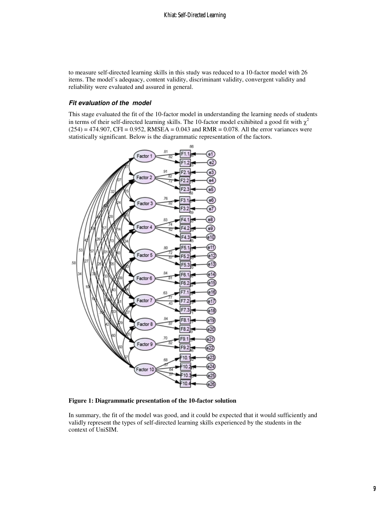to measure self-directed learning skills in this study was reduced to a 10-factor model with 26 items. The model's adequacy, content validity, discriminant validity, convergent validity and reliability were evaluated and assured in general.

#### **Fit evaluation of the model**

This stage evaluated the fit of the 10-factor model in understanding the learning needs of students in terms of their self-directed learning skills. The 10-factor model exihibited a good fit with  $\chi^2$  $(254) = 474.907$ , CFI = 0.952, RMSEA = 0.043 and RMR = 0.078. All the error variances were statistically significant. Below is the diagrammatic representation of the factors.



**Figure 1: Diagrammatic presentation of the 10-factor solution** 

In summary, the fit of the model was good, and it could be expected that it would sufficiently and validly represent the types of self-directed learning skills experienced by the students in the context of UniSIM.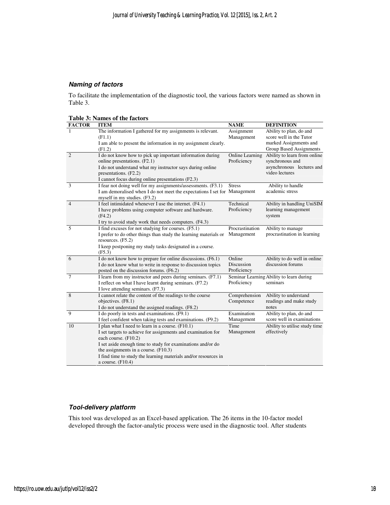#### **Naming of factors**

To facilitate the implementation of the diagnostic tool, the various factors were named as shown in Table 3.

**Table 3: Names of the factors** 

| <b>FACTOR</b>  | <b>ITEM</b>                                                                                                             | <b>NAME</b>          | <b>DEFINITION</b>                                 |
|----------------|-------------------------------------------------------------------------------------------------------------------------|----------------------|---------------------------------------------------|
|                | The information I gathered for my assignments is relevant.                                                              | Assignment           | Ability to plan, do and                           |
|                | (F1.1)                                                                                                                  | Management           | score well in the Tutor                           |
|                | I am able to present the information in my assignment clearly.                                                          |                      | marked Assignments and                            |
|                | (F1.2)                                                                                                                  |                      | Group Based Assignments                           |
| $\overline{2}$ | I do not know how to pick up important information during                                                               | Online Learning      | Ability to learn from online                      |
|                | online presentations. (F2.1)                                                                                            | Proficiency          | synchronous and                                   |
|                | I do not understand what my instructor says during online                                                               |                      | asynchronous lectures and                         |
|                | presentations. (F2.2)                                                                                                   |                      | video lectures                                    |
|                | I cannot focus during online presentations (F2.3)                                                                       |                      |                                                   |
| 3              | I fear not doing well for my assignments/assessments. (F3.1)                                                            | <b>Stress</b>        | Ability to handle                                 |
|                | I am demoralised when I do not meet the expectations I set for Management                                               |                      | academic stress                                   |
|                | myself in my studies. (F3.2)                                                                                            |                      |                                                   |
| $\overline{4}$ | I feel intimidated whenever I use the internet. (F4.1)                                                                  | Technical            | Ability in handling UniSIM                        |
|                | I have problems using computer software and hardware.                                                                   | Proficiency          | learning management                               |
|                | (F4.2)                                                                                                                  |                      | system                                            |
|                | I try to avoid study work that needs computers. (F4.3)                                                                  |                      |                                                   |
| 5              | I find excuses for not studying for courses. (F5.1)                                                                     | Procrastination      | Ability to manage                                 |
|                | I prefer to do other things than study the learning materials or                                                        | Management           | procrastination in learning                       |
|                | resources. (F5.2)                                                                                                       |                      |                                                   |
|                | I keep postponing my study tasks designated in a course.                                                                |                      |                                                   |
|                | (F5.3)                                                                                                                  |                      |                                                   |
| 6              | I do not know how to prepare for online discussions. (F6.1)                                                             | Online<br>Discussion | Ability to do well in online<br>discussion forums |
|                | I do not know what to write in response to discussion topics                                                            | Proficiency          |                                                   |
| $\tau$         | posted on the discussion forums. (F6.2)                                                                                 |                      | Seminar Learning Ability to learn during          |
|                | I learn from my instructor and peers during seminars. (F7.1)<br>I reflect on what I have learnt during seminars. (F7.2) | Proficiency          | seminars                                          |
|                | I love attending seminars. (F7.3)                                                                                       |                      |                                                   |
| 8              | I cannot relate the content of the readings to the course                                                               | Comprehension        | Ability to understand                             |
|                | objectives. (F8.1)                                                                                                      | Competence           | readings and make study                           |
|                | I do not understand the assigned readings. (F8.2)                                                                       |                      | notes                                             |
| 9              | I do poorly in tests and examinations. (F9.1)                                                                           | Examination          | Ability to plan, do and                           |
|                | I feel confident when taking tests and examinations. (F9.2)                                                             | Management           | score well in examinations                        |
| 10             | I plan what I need to learn in a course. (F10.1)                                                                        | Time                 | Ability to utilise study time                     |
|                | I set targets to achieve for assignments and examination for                                                            | Management           | effectively                                       |
|                | each course. (F10.2)                                                                                                    |                      |                                                   |
|                | I set aside enough time to study for examinations and/or do                                                             |                      |                                                   |
|                | the assignments in a course. (F10.3)                                                                                    |                      |                                                   |
|                | I find time to study the learning materials and/or resources in                                                         |                      |                                                   |
|                | a course. $(F10.4)$                                                                                                     |                      |                                                   |
|                |                                                                                                                         |                      |                                                   |

#### **Tool-delivery platform**

This tool was developed as an Excel-based application. The 26 items in the 10-factor model developed through the factor-analytic process were used in the diagnostic tool. After students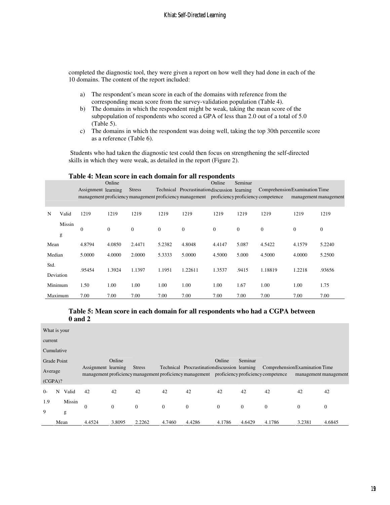completed the diagnostic tool, they were given a report on how well they had done in each of the 10 domains. The content of the report included:

- a) The respondent's mean score in each of the domains with reference from the corresponding mean score from the survey-validation population (Table 4).
- b) The domains in which the respondent might be weak, taking the mean score of the subpopulation of respondents who scored a GPA of less than 2.0 out of a total of 5.0 (Table 5).
- c) The domains in which the respondent was doing well, taking the top 30th percentile score as a reference (Table 6).

 Students who had taken the diagnostic test could then focus on strengthening the self-directed skills in which they were weak, as detailed in the report (Figure 2).

|        | Table 4: Mean score in each domain for all respondents |                     |          |                |              |                                                                                             |              |              |                                |              |                       |  |
|--------|--------------------------------------------------------|---------------------|----------|----------------|--------------|---------------------------------------------------------------------------------------------|--------------|--------------|--------------------------------|--------------|-----------------------|--|
|        |                                                        |                     | Online   |                |              |                                                                                             | Online       | Seminar      |                                |              |                       |  |
|        |                                                        | Assignment learning |          | <b>Stress</b>  |              | Technical Procrastination discussion learning                                               |              |              | Comprehension Examination Time |              |                       |  |
|        |                                                        |                     |          |                |              | management proficiency management proficiency management proficiency proficiency competence |              |              |                                |              | management management |  |
|        |                                                        |                     |          |                |              |                                                                                             |              |              |                                |              |                       |  |
| N      | Valid                                                  | 1219                | 1219     | 1219           | 1219         | 1219                                                                                        | 1219         | 1219         | 1219                           | 1219         | 1219                  |  |
|        | Missin                                                 | $\mathbf{0}$        | $\Omega$ | $\overline{0}$ | $\mathbf{0}$ | $\theta$                                                                                    | $\mathbf{0}$ | $\mathbf{0}$ | $\theta$                       | $\mathbf{0}$ | $\mathbf{0}$          |  |
|        | g                                                      |                     |          |                |              |                                                                                             |              |              |                                |              |                       |  |
| Mean   |                                                        | 4.8794              | 4.0850   | 2.4471         | 5.2382       | 4.8048                                                                                      | 4.4147       | 5.087        | 4.5422                         | 4.1579       | 5.2240                |  |
| Median |                                                        | 5.0000              | 4.0000   | 2.0000         | 5.3333       | 5.0000                                                                                      | 4.5000       | 5.000        | 4.5000                         | 4.0000       | 5.2500                |  |
| Std.   |                                                        | .95454              | 1.3924   | 1.1397         | 1.1951       | 1.22611                                                                                     | 1.3537       | .9415        | 1.18819                        | 1.2218       | .93656                |  |
|        | Deviation                                              |                     |          |                |              |                                                                                             |              |              |                                |              |                       |  |
|        | Minimum                                                | 1.50                | 1.00     | 1.00           | 1.00         | 1.00                                                                                        | 1.00         | 1.67         | 1.00                           | 1.00         | 1.75                  |  |
|        | Maximum                                                | 7.00                | 7.00     | 7.00           | 7.00         | 7.00                                                                                        | 7.00         | 7.00         | 7.00                           | 7.00         | 7.00                  |  |

# **Table 4: Mean score in each domain for all respondents**

#### **Table 5: Mean score in each domain for all respondents who had a CGPA between 0 and 2**

| What is your |      |        |                     |          |                |          |                                                                                                                                              |                |          |                                |                       |                |
|--------------|------|--------|---------------------|----------|----------------|----------|----------------------------------------------------------------------------------------------------------------------------------------------|----------------|----------|--------------------------------|-----------------------|----------------|
| current      |      |        |                     |          |                |          |                                                                                                                                              |                |          |                                |                       |                |
| Cumulative   |      |        |                     |          |                |          |                                                                                                                                              |                |          |                                |                       |                |
| Grade Point  |      |        |                     | Online   |                |          |                                                                                                                                              | Online         | Seminar  |                                |                       |                |
| Average      |      |        | Assignment learning |          | <b>Stress</b>  |          | Technical Procrastination discussion learning<br>management proficiency management proficiency management proficiency proficiency competence |                |          | Comprehension Examination Time | management management |                |
| (CGPA)?      |      |        |                     |          |                |          |                                                                                                                                              |                |          |                                |                       |                |
| $O -$        | N    | Valid  | 42                  | 42       | 42             | 42       | 42                                                                                                                                           | 42             | 42       | 42                             | 42                    | 42             |
| 1.9          |      | Missin | $\mathbf{0}$        | $\theta$ | $\overline{0}$ | $\theta$ | $\overline{0}$                                                                                                                               | $\overline{0}$ | $\theta$ | $\theta$                       | $\overline{0}$        | $\overline{0}$ |
| 9            |      | g      |                     |          |                |          |                                                                                                                                              |                |          |                                |                       |                |
|              | Mean |        | 4.4524              | 3.8095   | 2.2262         | 4.7460   | 4.4286                                                                                                                                       | 4.1786         | 4.6429   | 4.1786                         | 3.2381                | 4.6845         |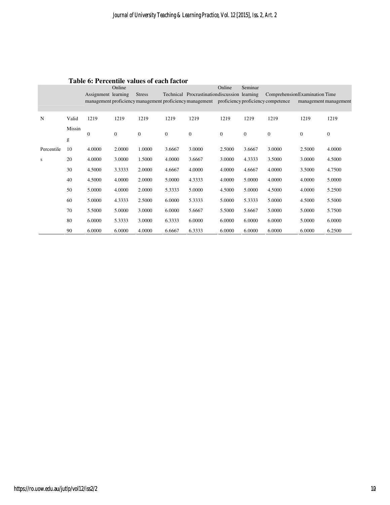|            |        |                     | Online       |                  |              |                                                                                             | Online       | Seminar  |                                |                |                       |
|------------|--------|---------------------|--------------|------------------|--------------|---------------------------------------------------------------------------------------------|--------------|----------|--------------------------------|----------------|-----------------------|
|            |        | Assignment learning |              | <b>Stress</b>    |              | Technical Procrastination discussion learning                                               |              |          | Comprehension Examination Time |                |                       |
|            |        |                     |              |                  |              | management proficiency management proficiency management proficiency proficiency competence |              |          |                                |                | management management |
|            |        |                     |              |                  |              |                                                                                             |              |          |                                |                |                       |
| N          | Valid  | 1219                | 1219         | 1219             | 1219         | 1219                                                                                        | 1219         | 1219     | 1219                           | 1219           | 1219                  |
|            | Missin | $\mathbf{0}$        | $\mathbf{0}$ | $\boldsymbol{0}$ | $\mathbf{0}$ | $\mathbf{0}$                                                                                | $\mathbf{0}$ | $\theta$ | $\mathbf{0}$                   | $\overline{0}$ | $\boldsymbol{0}$      |
|            | g      |                     |              |                  |              |                                                                                             |              |          |                                |                |                       |
| Percentile | 10     | 4.0000              | 2.0000       | 1.0000           | 3.6667       | 3.0000                                                                                      | 2.5000       | 3.6667   | 3.0000                         | 2.5000         | 4.0000                |
| S          | 20     | 4.0000              | 3.0000       | 1.5000           | 4.0000       | 3.6667                                                                                      | 3.0000       | 4.3333   | 3.5000                         | 3.0000         | 4.5000                |
|            | 30     | 4.5000              | 3.3333       | 2.0000           | 4.6667       | 4.0000                                                                                      | 4.0000       | 4.6667   | 4.0000                         | 3.5000         | 4.7500                |
|            | 40     | 4.5000              | 4.0000       | 2.0000           | 5.0000       | 4.3333                                                                                      | 4.0000       | 5.0000   | 4.0000                         | 4.0000         | 5.0000                |
|            | 50     | 5.0000              | 4.0000       | 2.0000           | 5.3333       | 5.0000                                                                                      | 4.5000       | 5.0000   | 4.5000                         | 4.0000         | 5.2500                |
|            | 60     | 5.0000              | 4.3333       | 2.5000           | 6.0000       | 5.3333                                                                                      | 5.0000       | 5.3333   | 5.0000                         | 4.5000         | 5.5000                |
|            | 70     | 5.5000              | 5.0000       | 3.0000           | 6.0000       | 5.6667                                                                                      | 5.5000       | 5.6667   | 5.0000                         | 5.0000         | 5.7500                |
|            | 80     | 6.0000              | 5.3333       | 3.0000           | 6.3333       | 6.0000                                                                                      | 6.0000       | 6.0000   | 6.0000                         | 5.0000         | 6.0000                |
|            | 90     | 6.0000              | 6.0000       | 4.0000           | 6.6667       | 6.3333                                                                                      | 6.0000       | 6.0000   | 6.0000                         | 6.0000         | 6.2500                |

# **Table 6: Percentile values of each factor**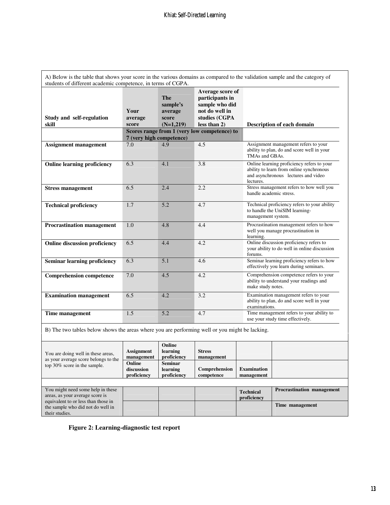|                                      |                 | <b>The</b><br>sample's   | Average score of<br>participants in<br>sample who did |                                                                                                                                            |
|--------------------------------------|-----------------|--------------------------|-------------------------------------------------------|--------------------------------------------------------------------------------------------------------------------------------------------|
| Study and self-regulation            | Your<br>average | average<br>score         | not do well in<br>studies (CGPA                       |                                                                                                                                            |
| skill                                | score           | $(N=1,219)$              | less than 2)                                          | <b>Description of each domain</b>                                                                                                          |
|                                      |                 | 7 (very high competence) | Scores range from 1 (very low competence) to          |                                                                                                                                            |
| <b>Assignment management</b>         | 7.0             | 4.9                      | 4.5                                                   | Assignment management refers to your<br>ability to plan, do and score well in your<br>TMAs and GBAs.                                       |
| <b>Online learning proficiency</b>   | 6.3             | 4.1                      | 3.8                                                   | Online learning proficiency refers to your<br>ability to learn from online synchronous<br>and asynchronous lectures and video<br>lectures. |
| <b>Stress management</b>             | 6.5             | 2.4                      | 2.2                                                   | Stress management refers to how well you<br>handle academic stress.                                                                        |
| <b>Technical proficiency</b>         | 1.7             | 5.2                      | 4.7                                                   | Technical proficiency refers to your ability<br>to handle the UniSIM learning-<br>management system.                                       |
| <b>Procrastination management</b>    | 1.0             | 4.8                      | 4.4                                                   | Procrastination management refers to how<br>well you manage procrastination in<br>learning.                                                |
| <b>Online discussion proficiency</b> | 6.5             | 4.4                      | 4.2                                                   | Online discussion proficiency refers to<br>your ability to do well in online discussion<br>forums.                                         |
| <b>Seminar learning proficiency</b>  | 6.3             | 5.1                      | 4.6                                                   | Seminar learning proficiency refers to how<br>effectively you learn during seminars.                                                       |
| <b>Comprehension competence</b>      | 7.0             | 4.5                      | 4.2                                                   | Comprehension competence refers to your<br>ability to understand your readings and<br>make study notes.                                    |
| <b>Examination management</b>        | 6.5             | 4.2                      | 3.2                                                   | Examination management refers to your<br>ability to plan, do and score well in your<br>examinations.                                       |
| Time management                      | 1.5             | 5.2                      | 4.7                                                   | Time management refers to your ability to<br>use your study time effectively.                                                              |

B) The two tables below shows the areas where you are performing well or you might be lacking.

| You are doing well in these areas,<br>as your average score belongs to the                 | Assignment<br>management            | Online<br>learning<br>proficiency         | <b>Stress</b><br>management |                                  |                                   |
|--------------------------------------------------------------------------------------------|-------------------------------------|-------------------------------------------|-----------------------------|----------------------------------|-----------------------------------|
| top 30% score in the sample.                                                               | Online<br>discussion<br>proficiency | <b>Seminar</b><br>learning<br>proficiency | Comprehension<br>competence | <b>Examination</b><br>management |                                   |
|                                                                                            |                                     |                                           |                             |                                  |                                   |
| You might need some help in these<br>areas, as your average score is                       |                                     |                                           |                             | <b>Technical</b><br>proficiency  | <b>Procrastination management</b> |
| equivalent to or less than those in<br>the sample who did not do well in<br>their studies. |                                     |                                           |                             |                                  | Time management                   |

**Figure 2: Learning-diagnostic test report**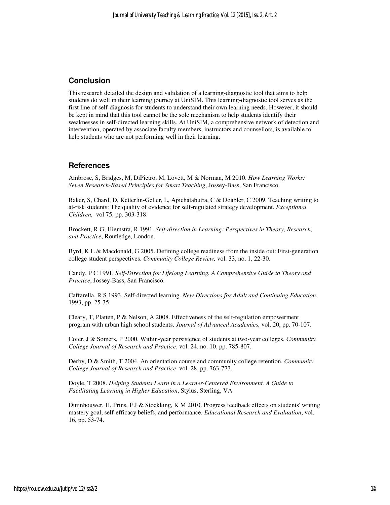# **Conclusion**

This research detailed the design and validation of a learning-diagnostic tool that aims to help students do well in their learning journey at UniSIM. This learning-diagnostic tool serves as the first line of self-diagnosis for students to understand their own learning needs. However, it should be kept in mind that this tool cannot be the sole mechanism to help students identify their weaknesses in self-directed learning skills. At UniSIM, a comprehensive network of detection and intervention, operated by associate faculty members, instructors and counsellors, is available to help students who are not performing well in their learning.

# **References**

Ambrose, S, Bridges, M, DiPietro, M, Lovett, M & Norman, M 2010. *How Learning Works: Seven Research-Based Principles for Smart Teaching*, Jossey-Bass, San Francisco.

Baker, S, Chard, D, Ketterlin-Geller, L, Apichatabutra, C & Doabler, C 2009. Teaching writing to at-risk students: The quality of evidence for self-regulated strategy development. *Exceptional Children,* vol 75, pp. 303-318.

Brockett, R G, Hiemstra, R 1991. *Self-direction in Learning: Perspectives in Theory, Research, and Practice*, Routledge, London.

Byrd, K L & Macdonald, G 2005. Defining college readiness from the inside out: First-generation college student perspectives. *Community College Review,* vol. 33, no. 1, 22-30.

Candy, P C 1991. *Self-Direction for Lifelong Learning. A Comprehensive Guide to Theory and Practice*, Jossey-Bass, San Francisco.

Caffarella, R S 1993. Self-directed learning. *New Directions for Adult and Continuing Education*, 1993, pp. 25-35.

Cleary, T, Platten, P & Nelson, A 2008. Effectiveness of the self-regulation empowerment program with urban high school students. *Journal of Advanced Academics,* vol. 20, pp. 70-107.

Cofer, J & Somers, P 2000. Within-year persistence of students at two-year colleges. *Community College Journal of Research and Practice*, vol. 24, no. 10, pp. 785-807.

Derby, D & Smith, T 2004. An orientation course and community college retention. *Community College Journal of Research and Practice*, vol. 28, pp. 763-773.

Doyle, T 2008. *Helping Students Learn in a Learner-Centered Environment. A Guide to Facilitating Learning in Higher Education*, Stylus, Sterling, VA.

Duijnhouwer, H, Prins, F J & Stockking, K M 2010. Progress feedback effects on students' writing mastery goal, self-efficacy beliefs, and performance. *Educational Research and Evaluation*, vol. 16, pp. 53-74.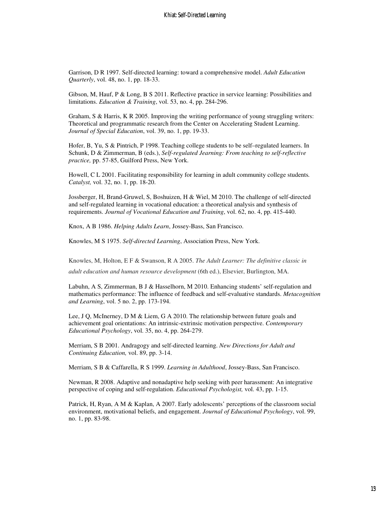Garrison, D R 1997. Self-directed learning: toward a comprehensive model. *Adult Education Quarterly*, vol. 48, no. 1, pp. 18-33.

Gibson, M, Hauf, P & Long, B S 2011. Reflective practice in service learning: Possibilities and limitations. *Education & Training*, vol. 53, no. 4, pp. 284-296.

Graham, S & Harris, K R 2005. Improving the writing performance of young struggling writers: Theoretical and programmatic research from the Center on Accelerating Student Learning. *Journal of Special Education*, vol. 39, no. 1, pp. 19-33.

Hofer, B, Yu, S & Pintrich, P 1998. Teaching college students to be self–regulated learners. In Schunk, D & Zimmerman, B (eds.), *Self-regulated Jearning: From teaching to self-reflective practice,* pp. 57-85, Guilford Press, New York.

Howell, C L 2001. Facilitating responsibility for learning in adult community college students*. Catalyst,* vol. 32, no. 1, pp. 18-20.

Jossberger, H, Brand-Gruwel, S, Boshuizen, H & Wiel, M 2010. The challenge of self-directed and self-regulated learning in vocational education: a theoretical analysis and synthesis of requirements. *Journal of Vocational Education and Training*, vol. 62, no. 4, pp. 415-440.

Knox, A B 1986. *Helping Adults Learn*, Jossey-Bass, San Francisco.

Knowles, M S 1975. *Self-directed Learning*, Association Press, New York.

Knowles, M, Holton, E F & Swanson, R A 2005. *The Adult Learner: The definitive classic in* 

*adult education and human resource development* (6th ed.), Elsevier, Burlington, MA.

Labuhn, A S, Zimmerman, B J & Hasselhorn, M 2010. Enhancing students' self-regulation and mathematics performance: The influence of feedback and self-evaluative standards. *Metacognition and Learning*, vol. 5 no. 2, pp. 173-194.

Lee, J Q, McInerney, D M & Liem, G A 2010. The relationship between future goals and achievement goal orientations: An intrinsic-extrinsic motivation perspective. *Contemporary Educational Psychology*, vol. 35, no. 4, pp. 264-279.

Merriam, S B 2001. Andragogy and self-directed learning. *New Directions for Adult and Continuing Education,* vol. 89, pp. 3-14.

Merriam, S B & Caffarella, R S 1999. *Learning in Adulthood*, Jossey-Bass, San Francisco.

Newman, R 2008. Adaptive and nonadaptive help seeking with peer harassment: An integrative perspective of coping and self-regulation. *Educational Psychologist,* vol. 43, pp. 1-15.

Patrick, H, Ryan, A M & Kaplan, A 2007. Early adolescents' perceptions of the classroom social environment, motivational beliefs, and engagement. *Journal of Educational Psychology*, vol. 99, no. 1, pp. 83-98.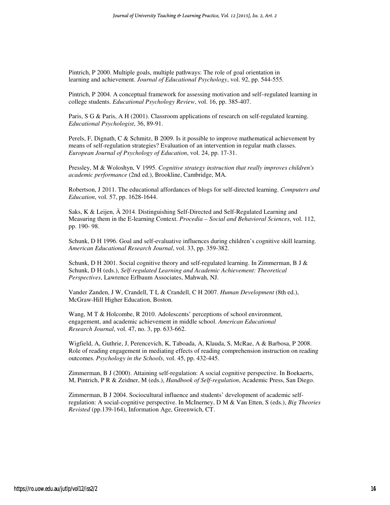Pintrich, P 2000. Multiple goals, multiple pathways: The role of goal orientation in learning and achievement. *Journal of Educational Psychology*, vol. 92, pp. 544-555.

Pintrich, P 2004. A conceptual framework for assessing motivation and self–regulated learning in college students. *Educational Psychology Review*, vol. 16, pp. 385-407.

Paris, S G & Paris, A H (2001). Classroom applications of research on self-regulated learning. *Educational Psychologist*, 36, 89-91.

Perels, F, Dignath, C & Schmitz, B 2009. Is it possible to improve mathematical achievement by means of self-regulation strategies? Evaluation of an intervention in regular math classes. *European Journal of Psychology of Education*, vol. 24, pp. 17-31.

Pressley, M & Woloshyn, V 1995. *Cognitive strategy instruction that really improves children's academic performance* (2nd ed.), Brookline, Cambridge, MA.

Robertson, J 2011. The educational affordances of blogs for self-directed learning. *Computers and Education*, vol. 57, pp. 1628-1644.

Saks, K & Leijen, Ä 2014. Distinguishing Self-Directed and Self-Regulated Learning and Measuring them in the E-learning Context. *Procedia – Social and Behavioral Sciences*, vol. 112, pp. 190- 98.

Schunk, D H 1996. Goal and self-evaluative influences during children's cognitive skill learning. *American Educational Research Journal*, vol. 33, pp. 359-382.

Schunk, D H 2001. Social cognitive theory and self-regulated learning. In Zimmerman, B J & Schunk, D H (eds.), *Self-regulated Learning and Academic Achievement: Theoretical Perspectives*, Lawrence Erlbaum Associates, Mahwah, NJ.

Vander Zanden, J W, Crandell, T L & Crandell, C H 2007. *Human Development* (8th ed.), McGraw-Hill Higher Education, Boston.

Wang, M T & Holcombe, R 2010. Adolescents' perceptions of school environment, engagement, and academic achievement in middle school. *American Educational Research Journal*, vol. 47, no. 3, pp. 633-662.

Wigfield, A, Guthrie, J, Perencevich, K, Taboada, A, Klauda, S, McRae, A & Barbosa, P 2008. Role of reading engagement in mediating effects of reading comprehension instruction on reading outcomes. *Psychology in the Schools*, vol. 45, pp. 432-445.

Zimmerman, B J (2000). Attaining self-regulation: A social cognitive perspective. In Boekaerts, M, Pintrich, P R & Zeidner, M (eds.), *Handbook of Self-regulation*, Academic Press, San Diego.

Zimmerman, B J 2004. Sociocultural influence and students' development of academic selfregulation: A social-cognitive perspective. In McInerney, D M & Van Etten, S (eds.), *Big Theories Revisted* (pp.139-164), Information Age, Greenwich, CT.